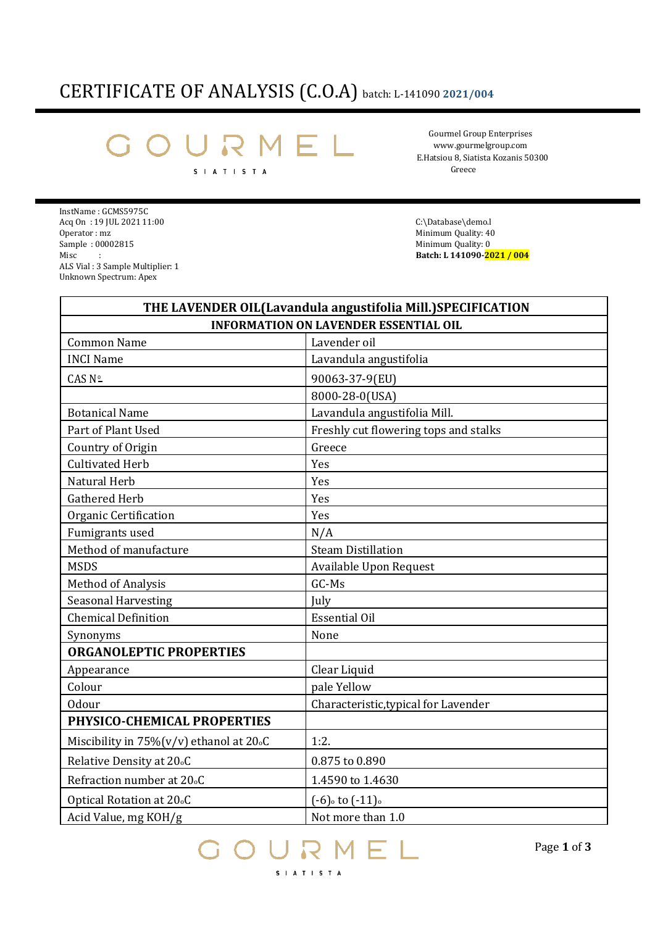## CERTIFICATE OF ANALYSIS (C.O.A) batch: L-141090 **2021/004**

## Å S I A T I S T A

Gourmel Group Enterprises [www.gourmelgroup.com](http://www.gourmelgroup.com/) E.Hatsiou 8, Siatista Kozanis 50300 Greece

InstName : GCMS5975C Acq On : 19 JUL 2021 11:00 C:\Database\demo.l C:\Database\demo.l C:\Database\demo.l C:\Database\demo.l C:\Database\demo.l C:\Database\demo.l C:\Database\demo.l C:\Database\demo.l C:\Database\demo.l C:\Database\demo.l C:\Da Sample : 00002815 Minimum Quality: 0 Misc : **Batch: L 141090-<mark>2021 / 004</mark>** ALS Vial : 3 Sample Multiplier: 1 Unknown Spectrum: Apex

Minimum Quality: 40

| THE LAVENDER OIL (Lavandula angustifolia Mill.) SPECIFICATION<br><b>INFORMATION ON LAVENDER ESSENTIAL OIL</b> |                                       |
|---------------------------------------------------------------------------------------------------------------|---------------------------------------|
|                                                                                                               |                                       |
| <b>INCI Name</b>                                                                                              | Lavandula angustifolia                |
| CAS Nº                                                                                                        | 90063-37-9(EU)                        |
|                                                                                                               | 8000-28-0(USA)                        |
| <b>Botanical Name</b>                                                                                         | Lavandula angustifolia Mill.          |
| Part of Plant Used                                                                                            | Freshly cut flowering tops and stalks |
| Country of Origin                                                                                             | Greece                                |
| <b>Cultivated Herb</b>                                                                                        | Yes                                   |
| Natural Herb                                                                                                  | Yes                                   |
| <b>Gathered Herb</b>                                                                                          | Yes                                   |
| Organic Certification                                                                                         | Yes                                   |
| Fumigrants used                                                                                               | N/A                                   |
| Method of manufacture                                                                                         | <b>Steam Distillation</b>             |
| <b>MSDS</b>                                                                                                   | Available Upon Request                |
| <b>Method of Analysis</b>                                                                                     | GC-Ms                                 |
| <b>Seasonal Harvesting</b>                                                                                    | July                                  |
| <b>Chemical Definition</b>                                                                                    | <b>Essential Oil</b>                  |
| Synonyms                                                                                                      | None                                  |
| <b>ORGANOLEPTIC PROPERTIES</b>                                                                                |                                       |
| Appearance                                                                                                    | Clear Liquid                          |
| Colour                                                                                                        | pale Yellow                           |
| <b>Odour</b>                                                                                                  | Characteristic, typical for Lavender  |
| PHYSICO-CHEMICAL PROPERTIES                                                                                   |                                       |
| Miscibility in 75%(v/v) ethanol at 20.0                                                                       | 1:2.                                  |
| Relative Density at 20 <sub>°</sub> C                                                                         | 0.875 to 0.890                        |
| Refraction number at 20 <sub>°</sub> C                                                                        | 1.4590 to 1.4630                      |
| Optical Rotation at 20 <sub>°</sub> C                                                                         | $(-6)$ to $(-11)$                     |
| Acid Value, mg KOH/g                                                                                          | Not more than 1.0                     |

MEL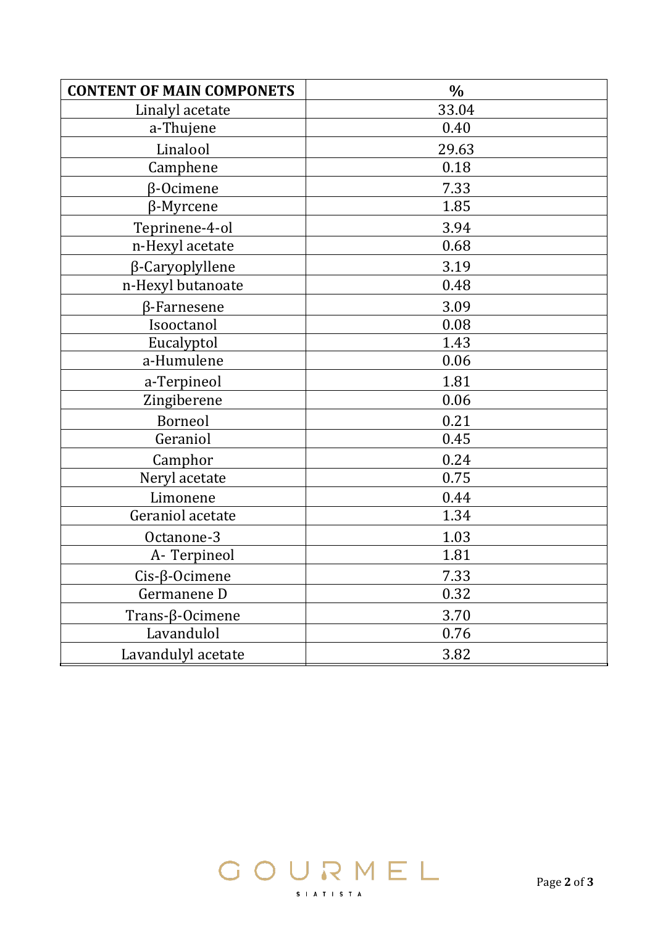| <b>CONTENT OF MAIN COMPONETS</b> | $\frac{0}{0}$ |
|----------------------------------|---------------|
| Linalyl acetate                  | 33.04         |
| a-Thujene                        | 0.40          |
| Linalool                         | 29.63         |
| Camphene                         | 0.18          |
| $\beta$ -Ocimene                 | 7.33          |
| $\beta$ -Myrcene                 | 1.85          |
| Teprinene-4-ol                   | 3.94          |
| n-Hexyl acetate                  | 0.68          |
| β-Caryoplyllene                  | 3.19          |
| n-Hexyl butanoate                | 0.48          |
| $\beta$ -Farnesene               | 3.09          |
| Isooctanol                       | 0.08          |
| Eucalyptol                       | 1.43          |
| a-Humulene                       | 0.06          |
| a-Terpineol                      | 1.81          |
| Zingiberene                      | 0.06          |
| Borneol                          | 0.21          |
| Geraniol                         | 0.45          |
| Camphor                          | 0.24          |
| Neryl acetate                    | 0.75          |
| Limonene                         | 0.44          |
| Geraniol acetate                 | 1.34          |
| Octanone-3                       | 1.03          |
| A-Terpineol                      | 1.81          |
| $Cis$ - $\beta$ -Ocimene         | 7.33          |
| Germanene D                      | 0.32          |
| Trans- $\beta$ -Ocimene          | 3.70          |
| Lavandulol                       | 0.76          |
| Lavandulyl acetate               | 3.82          |

GOURMEL

S | A T | S T A